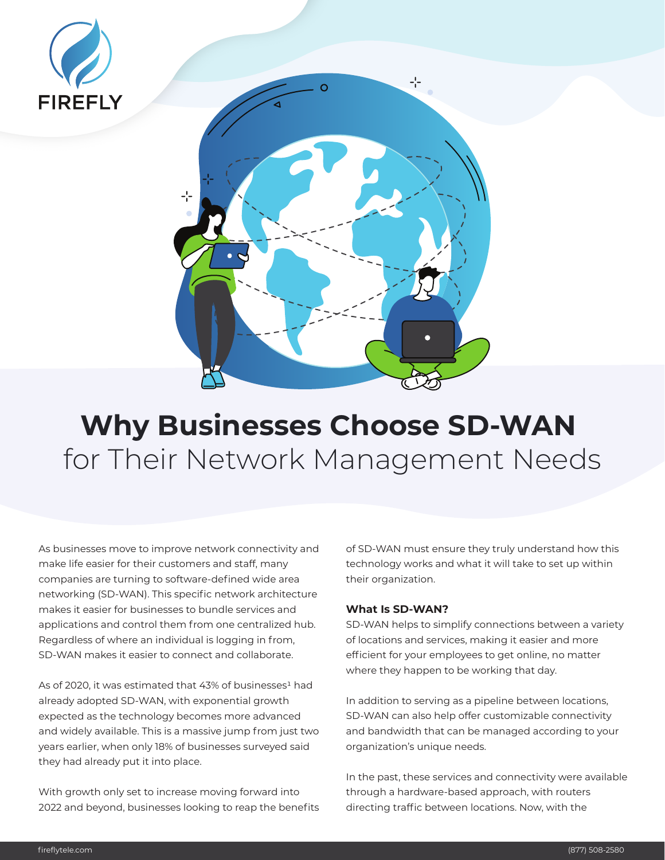



# **Why Businesses Choose SD-WAN**  for Their Network Management Needs

As businesses move to improve network connectivity and make life easier for their customers and staff, many companies are turning to software-defined wide area networking (SD-WAN). This specific network architecture makes it easier for businesses to bundle services and applications and control them from one centralized hub. Regardless of where an individual is logging in from, SD-WAN makes it easier to connect and collaborate.

As of 2020, it was estimated that 43% of businesses<sup>1</sup> had already adopted SD-WAN, with exponential growth expected as the technology becomes more advanced and widely available. This is a massive jump from just two years earlier, when only 18% of businesses surveyed said they had already put it into place.

With growth only set to increase moving forward into 2022 and beyond, businesses looking to reap the benefits of SD-WAN must ensure they truly understand how this technology works and what it will take to set up within their organization.

# **What Is SD-WAN?**

SD-WAN helps to simplify connections between a variety of locations and services, making it easier and more efficient for your employees to get online, no matter where they happen to be working that day.

In addition to serving as a pipeline between locations, SD-WAN can also help offer customizable connectivity and bandwidth that can be managed according to your organization's unique needs.

In the past, these services and connectivity were available through a hardware-based approach, with routers directing traffic between locations. Now, with the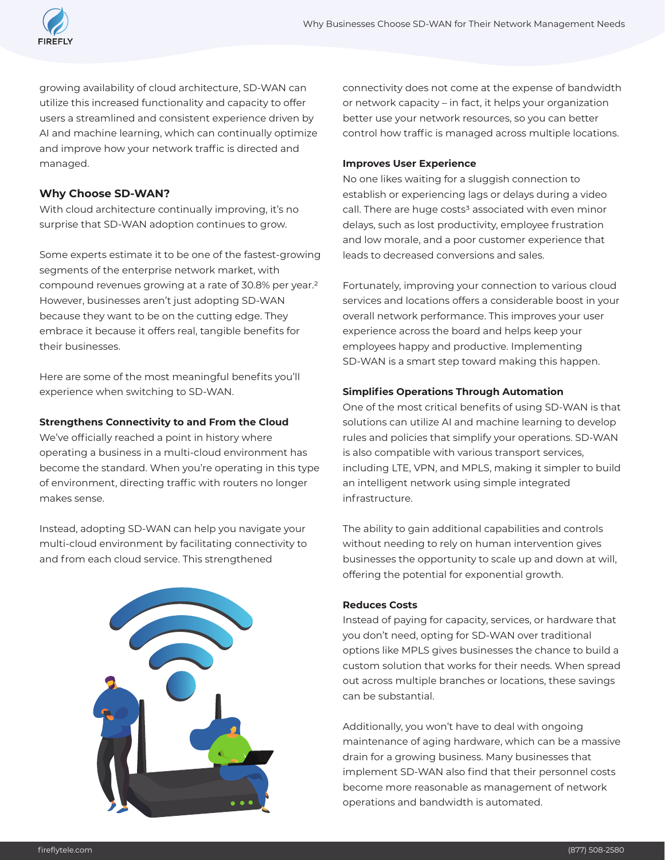

growing availability of cloud architecture, SD-WAN can utilize this increased functionality and capacity to offer users a streamlined and consistent experience driven by AI and machine learning, which can continually optimize and improve how your network traffic is directed and managed.

# **Why Choose SD-WAN?**

With cloud architecture continually improving, it's no surprise that SD-WAN adoption continues to grow.

Some experts estimate it to be one of the fastest-growing segments of the enterprise network market, with compound revenues growing at a rate of 30.8% per year.2 However, businesses aren't just adopting SD-WAN because they want to be on the cutting edge. They embrace it because it offers real, tangible benefits for their businesses.

Here are some of the most meaningful benefits you'll experience when switching to SD-WAN.

## **Strengthens Connectivity to and From the Cloud**

We've officially reached a point in history where operating a business in a multi-cloud environment has become the standard. When you're operating in this type of environment, directing traffic with routers no longer makes sense.

Instead, adopting SD-WAN can help you navigate your multi-cloud environment by facilitating connectivity to and from each cloud service. This strengthened



connectivity does not come at the expense of bandwidth or network capacity – in fact, it helps your organization better use your network resources, so you can better control how traffic is managed across multiple locations.

#### **Improves User Experience**

No one likes waiting for a sluggish connection to establish or experiencing lags or delays during a video call. There are huge costs<sup>3</sup> associated with even minor delays, such as lost productivity, employee frustration and low morale, and a poor customer experience that leads to decreased conversions and sales.

Fortunately, improving your connection to various cloud services and locations offers a considerable boost in your overall network performance. This improves your user experience across the board and helps keep your employees happy and productive. Implementing SD-WAN is a smart step toward making this happen.

#### **Simplifies Operations Through Automation**

One of the most critical benefits of using SD-WAN is that solutions can utilize AI and machine learning to develop rules and policies that simplify your operations. SD-WAN is also compatible with various transport services, including LTE, VPN, and MPLS, making it simpler to build an intelligent network using simple integrated infrastructure.

The ability to gain additional capabilities and controls without needing to rely on human intervention gives businesses the opportunity to scale up and down at will, offering the potential for exponential growth.

#### **Reduces Costs**

Instead of paying for capacity, services, or hardware that you don't need, opting for SD-WAN over traditional options like MPLS gives businesses the chance to build a custom solution that works for their needs. When spread out across multiple branches or locations, these savings can be substantial.

Additionally, you won't have to deal with ongoing maintenance of aging hardware, which can be a massive drain for a growing business. Many businesses that implement SD-WAN also find that their personnel costs become more reasonable as management of network operations and bandwidth is automated.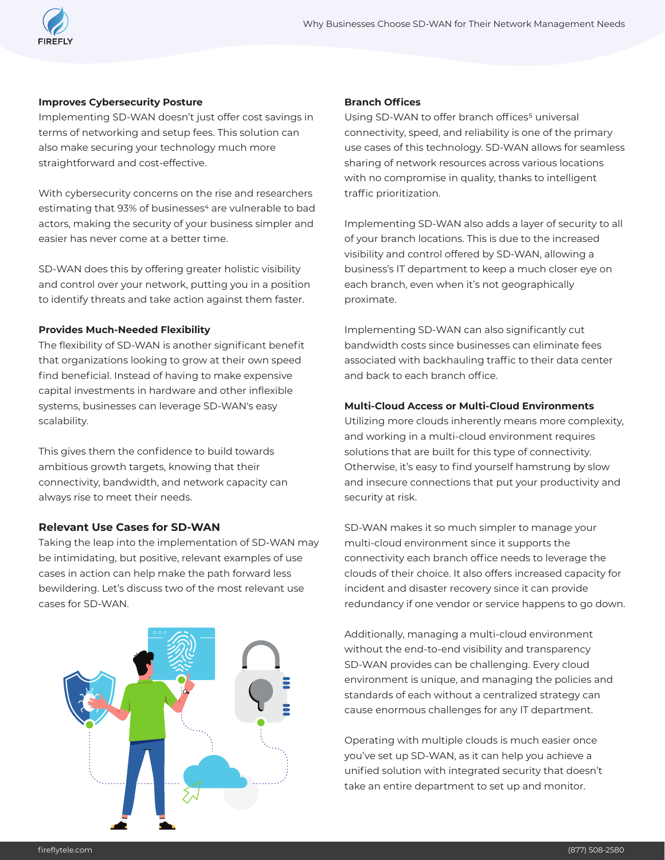

#### **Improves Cybersecurity Posture**

Implementing SD-WAN doesn't just offer cost savings in terms of networking and setup fees. This solution can also make securing your technology much more straightforward and cost-effective.

With cybersecurity concerns on the rise and researchers estimating that 93% of businesses<sup>4</sup> are vulnerable to bad actors, making the security of your business simpler and easier has never come at a better time.

SD-WAN does this by offering greater holistic visibility and control over your network, putting you in a position to identify threats and take action against them faster.

## **Provides Much-Needed Flexibility**

The flexibility of SD-WAN is another significant benefit that organizations looking to grow at their own speed find beneficial. Instead of having to make expensive capital investments in hardware and other inflexible systems, businesses can leverage SD-WAN's easy scalability.

This gives them the confidence to build towards ambitious growth targets, knowing that their connectivity, bandwidth, and network capacity can always rise to meet their needs.

# **Relevant Use Cases for SD-WAN**

Taking the leap into the implementation of SD-WAN may be intimidating, but positive, relevant examples of use cases in action can help make the path forward less bewildering. Let's discuss two of the most relevant use cases for SD-WAN.



### **Branch Offices**

Using SD-WAN to offer branch offices<sup>5</sup> universal connectivity, speed, and reliability is one of the primary use cases of this technology. SD-WAN allows for seamless sharing of network resources across various locations with no compromise in quality, thanks to intelligent traffic prioritization.

Implementing SD-WAN also adds a layer of security to all of your branch locations. This is due to the increased visibility and control offered by SD-WAN, allowing a business's IT department to keep a much closer eye on each branch, even when it's not geographically proximate.

Implementing SD-WAN can also significantly cut bandwidth costs since businesses can eliminate fees associated with backhauling traffic to their data center and back to each branch office.

# **Multi-Cloud Access or Multi-Cloud Environments**

Utilizing more clouds inherently means more complexity, and working in a multi-cloud environment requires solutions that are built for this type of connectivity. Otherwise, it's easy to find yourself hamstrung by slow and insecure connections that put your productivity and security at risk.

SD-WAN makes it so much simpler to manage your multi-cloud environment since it supports the connectivity each branch office needs to leverage the clouds of their choice. It also offers increased capacity for incident and disaster recovery since it can provide redundancy if one vendor or service happens to go down.

Additionally, managing a multi-cloud environment without the end-to-end visibility and transparency SD-WAN provides can be challenging. Every cloud environment is unique, and managing the policies and standards of each without a centralized strategy can cause enormous challenges for any IT department.

Operating with multiple clouds is much easier once you've set up SD-WAN, as it can help you achieve a unified solution with integrated security that doesn't take an entire department to set up and monitor.